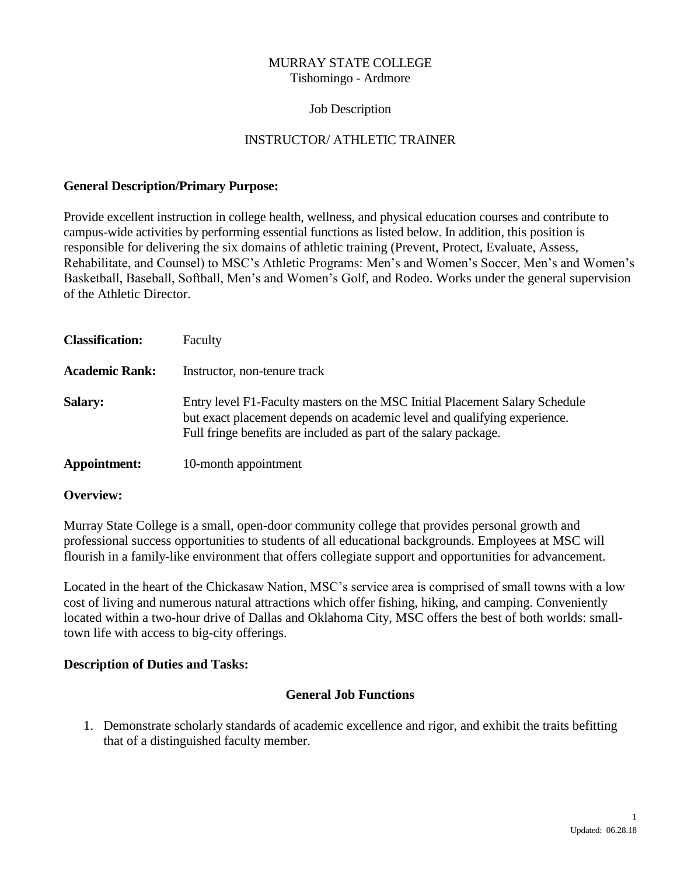### MURRAY STATE COLLEGE Tishomingo - Ardmore

### Job Description

## INSTRUCTOR/ ATHLETIC TRAINER

### **General Description/Primary Purpose:**

Provide excellent instruction in college health, wellness, and physical education courses and contribute to campus-wide activities by performing essential functions as listed below. In addition, this position is responsible for delivering the six domains of athletic training (Prevent, Protect, Evaluate, Assess, Rehabilitate, and Counsel) to MSC's Athletic Programs: Men's and Women's Soccer, Men's and Women's Basketball, Baseball, Softball, Men's and Women's Golf, and Rodeo. Works under the general supervision of the Athletic Director.

| <b>Classification:</b> | Faculty                                                                                                                                                                                                                     |
|------------------------|-----------------------------------------------------------------------------------------------------------------------------------------------------------------------------------------------------------------------------|
| <b>Academic Rank:</b>  | Instructor, non-tenure track                                                                                                                                                                                                |
| <b>Salary:</b>         | Entry level F1-Faculty masters on the MSC Initial Placement Salary Schedule<br>but exact placement depends on academic level and qualifying experience.<br>Full fringe benefits are included as part of the salary package. |
| Appointment:           | 10-month appointment                                                                                                                                                                                                        |

### **Overview:**

Murray State College is a small, open-door community college that provides personal growth and professional success opportunities to students of all educational backgrounds. Employees at MSC will flourish in a family-like environment that offers collegiate support and opportunities for advancement.

Located in the heart of the Chickasaw Nation, MSC's service area is comprised of small towns with a low cost of living and numerous natural attractions which offer fishing, hiking, and camping. Conveniently located within a two-hour drive of Dallas and Oklahoma City, MSC offers the best of both worlds: smalltown life with access to big-city offerings.

### **Description of Duties and Tasks:**

### **General Job Functions**

1. Demonstrate scholarly standards of academic excellence and rigor, and exhibit the traits befitting that of a distinguished faculty member.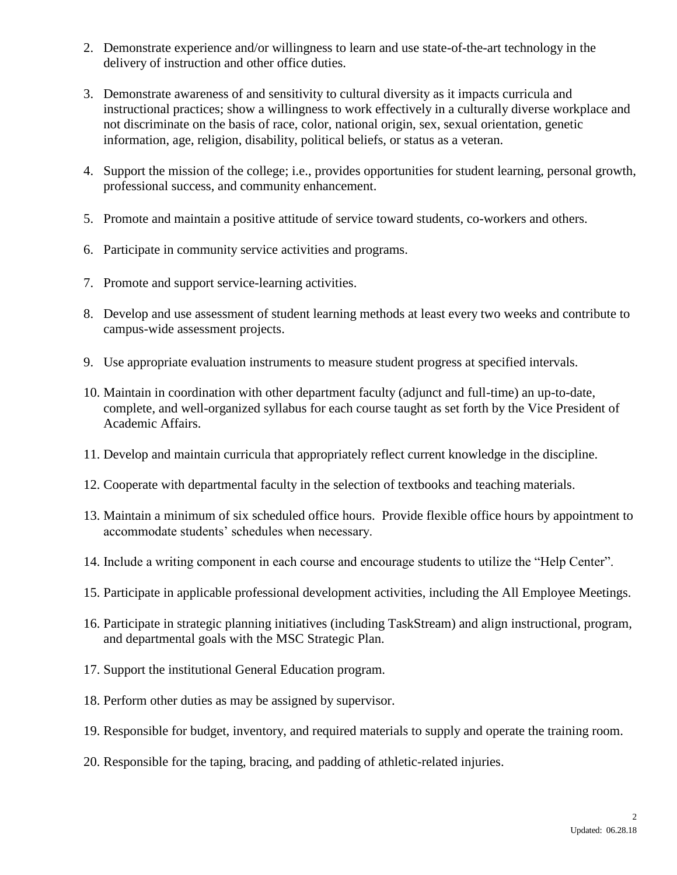- 2. Demonstrate experience and/or willingness to learn and use state-of-the-art technology in the delivery of instruction and other office duties.
- 3. Demonstrate awareness of and sensitivity to cultural diversity as it impacts curricula and instructional practices; show a willingness to work effectively in a culturally diverse workplace and not discriminate on the basis of race, color, national origin, sex, sexual orientation, genetic information, age, religion, disability, political beliefs, or status as a veteran.
- 4. Support the mission of the college; i.e., provides opportunities for student learning, personal growth, professional success, and community enhancement.
- 5. Promote and maintain a positive attitude of service toward students, co-workers and others.
- 6. Participate in community service activities and programs.
- 7. Promote and support service-learning activities.
- 8. Develop and use assessment of student learning methods at least every two weeks and contribute to campus-wide assessment projects.
- 9. Use appropriate evaluation instruments to measure student progress at specified intervals.
- 10. Maintain in coordination with other department faculty (adjunct and full-time) an up-to-date, complete, and well-organized syllabus for each course taught as set forth by the Vice President of Academic Affairs.
- 11. Develop and maintain curricula that appropriately reflect current knowledge in the discipline.
- 12. Cooperate with departmental faculty in the selection of textbooks and teaching materials.
- 13. Maintain a minimum of six scheduled office hours. Provide flexible office hours by appointment to accommodate students' schedules when necessary.
- 14. Include a writing component in each course and encourage students to utilize the "Help Center".
- 15. Participate in applicable professional development activities, including the All Employee Meetings.
- 16. Participate in strategic planning initiatives (including TaskStream) and align instructional, program, and departmental goals with the MSC Strategic Plan.
- 17. Support the institutional General Education program.
- 18. Perform other duties as may be assigned by supervisor.
- 19. Responsible for budget, inventory, and required materials to supply and operate the training room.
- 20. Responsible for the taping, bracing, and padding of athletic-related injuries.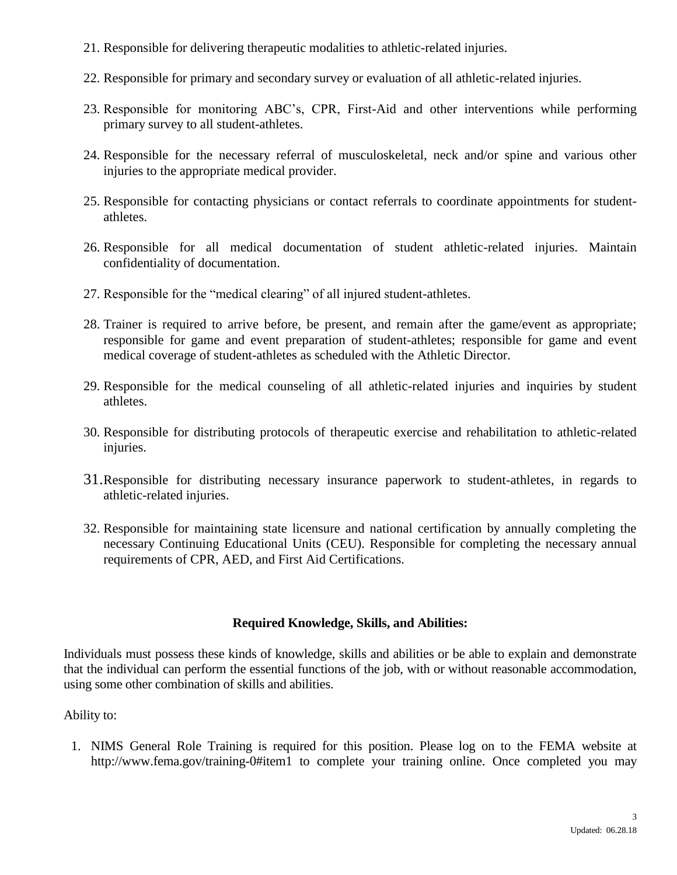- 21. Responsible for delivering therapeutic modalities to athletic-related injuries.
- 22. Responsible for primary and secondary survey or evaluation of all athletic-related injuries.
- 23. Responsible for monitoring ABC's, CPR, First-Aid and other interventions while performing primary survey to all student-athletes.
- 24. Responsible for the necessary referral of musculoskeletal, neck and/or spine and various other injuries to the appropriate medical provider.
- 25. Responsible for contacting physicians or contact referrals to coordinate appointments for studentathletes.
- 26. Responsible for all medical documentation of student athletic-related injuries. Maintain confidentiality of documentation.
- 27. Responsible for the "medical clearing" of all injured student-athletes.
- 28. Trainer is required to arrive before, be present, and remain after the game/event as appropriate; responsible for game and event preparation of student-athletes; responsible for game and event medical coverage of student-athletes as scheduled with the Athletic Director.
- 29. Responsible for the medical counseling of all athletic-related injuries and inquiries by student athletes.
- 30. Responsible for distributing protocols of therapeutic exercise and rehabilitation to athletic-related injuries.
- 31.Responsible for distributing necessary insurance paperwork to student-athletes, in regards to athletic-related injuries.
- 32. Responsible for maintaining state licensure and national certification by annually completing the necessary Continuing Educational Units (CEU). Responsible for completing the necessary annual requirements of CPR, AED, and First Aid Certifications.

# **Required Knowledge, Skills, and Abilities:**

Individuals must possess these kinds of knowledge, skills and abilities or be able to explain and demonstrate that the individual can perform the essential functions of the job, with or without reasonable accommodation, using some other combination of skills and abilities.

# Ability to:

1. NIMS General Role Training is required for this position. Please log on to the FEMA website at http://www.fema.gov/training-0#item1 to complete your training online. Once completed you may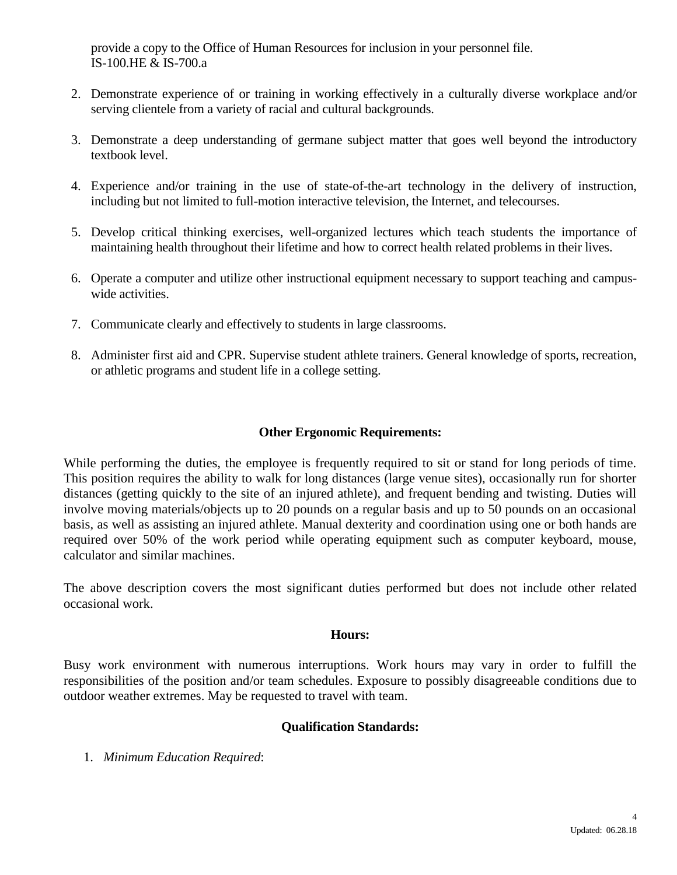provide a copy to the Office of Human Resources for inclusion in your personnel file. IS-100.HE & IS-700.a

- 2. Demonstrate experience of or training in working effectively in a culturally diverse workplace and/or serving clientele from a variety of racial and cultural backgrounds.
- 3. Demonstrate a deep understanding of germane subject matter that goes well beyond the introductory textbook level.
- 4. Experience and/or training in the use of state-of-the-art technology in the delivery of instruction, including but not limited to full-motion interactive television, the Internet, and telecourses.
- 5. Develop critical thinking exercises, well-organized lectures which teach students the importance of maintaining health throughout their lifetime and how to correct health related problems in their lives.
- 6. Operate a computer and utilize other instructional equipment necessary to support teaching and campuswide activities.
- 7. Communicate clearly and effectively to students in large classrooms.
- 8. Administer first aid and CPR. Supervise student athlete trainers. General knowledge of sports, recreation, or athletic programs and student life in a college setting.

## **Other Ergonomic Requirements:**

While performing the duties, the employee is frequently required to sit or stand for long periods of time. This position requires the ability to walk for long distances (large venue sites), occasionally run for shorter distances (getting quickly to the site of an injured athlete), and frequent bending and twisting. Duties will involve moving materials/objects up to 20 pounds on a regular basis and up to 50 pounds on an occasional basis, as well as assisting an injured athlete. Manual dexterity and coordination using one or both hands are required over 50% of the work period while operating equipment such as computer keyboard, mouse, calculator and similar machines.

The above description covers the most significant duties performed but does not include other related occasional work.

## **Hours:**

Busy work environment with numerous interruptions. Work hours may vary in order to fulfill the responsibilities of the position and/or team schedules. Exposure to possibly disagreeable conditions due to outdoor weather extremes. May be requested to travel with team.

## **Qualification Standards:**

1. *Minimum Education Required*: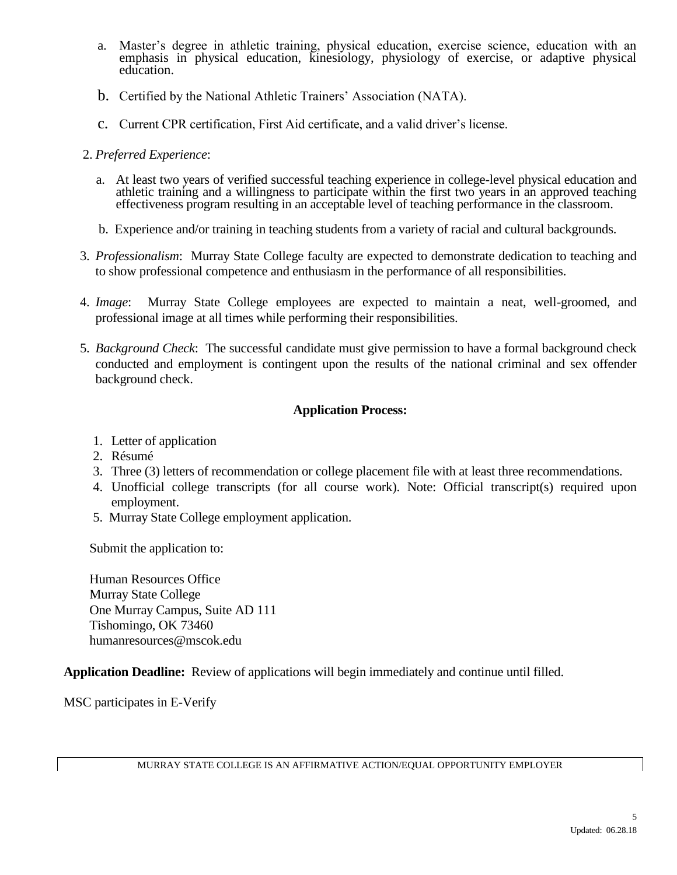- a. Master's degree in athletic training, physical education, exercise science, education with an emphasis in physical education, kinesiology, physiology of exercise, or adaptive physical education.
- b. Certified by the National Athletic Trainers' Association (NATA).
- c. Current CPR certification, First Aid certificate, and a valid driver's license.
- 2. *Preferred Experience*:
	- a. At least two years of verified successful teaching experience in college-level physical education and athletic training and a willingness to participate within the first two years in an approved teaching effectiveness program resulting in an acceptable level of teaching performance in the classroom.
	- b. Experience and/or training in teaching students from a variety of racial and cultural backgrounds.
- 3. *Professionalism*: Murray State College faculty are expected to demonstrate dedication to teaching and to show professional competence and enthusiasm in the performance of all responsibilities.
- 4. *Image*: Murray State College employees are expected to maintain a neat, well-groomed, and professional image at all times while performing their responsibilities.
- 5. *Background Check*: The successful candidate must give permission to have a formal background check conducted and employment is contingent upon the results of the national criminal and sex offender background check.

## **Application Process:**

- 1. Letter of application
- 2. Résumé
- 3. Three (3) letters of recommendation or college placement file with at least three recommendations.
- 4. Unofficial college transcripts (for all course work). Note: Official transcript(s) required upon employment.
- 5. Murray State College employment application.

Submit the application to:

Human Resources Office Murray State College One Murray Campus, Suite AD 111 Tishomingo, OK 73460 humanresources@mscok.edu

**Application Deadline:** Review of applications will begin immediately and continue until filled.

MSC participates in E-Verify